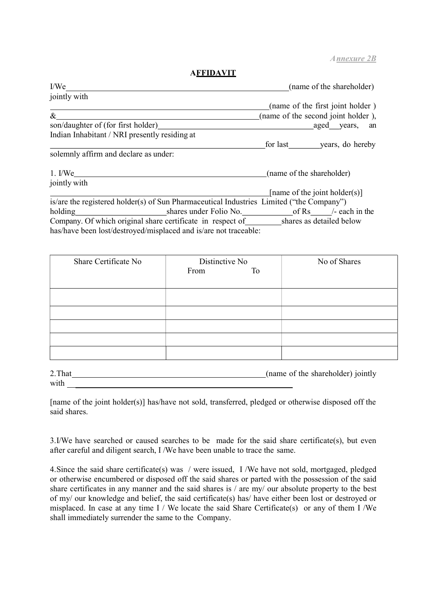A nnexure 2B

## **AFFIDAVIT**

| I/We                                                                                     | (name of the shareholder)          |
|------------------------------------------------------------------------------------------|------------------------------------|
| jointly with                                                                             |                                    |
|                                                                                          | (name of the first joint holder)   |
| $\&$                                                                                     | (name of the second joint holder), |
| son/daughter of (for first holder)                                                       | aged years,<br>an                  |
| Indian Inhabitant / NRI presently residing at                                            |                                    |
|                                                                                          | for last years, do hereby          |
| solemnly affirm and declare as under:                                                    |                                    |
| $1.$ I/We                                                                                | (name of the shareholder)          |
| jointly with                                                                             |                                    |
|                                                                                          | [name of the joint holder(s)]      |
| is/are the registered holder(s) of Sun Pharmaceutical Industries Limited ("the Company") |                                    |
| holding                                                                                  |                                    |
| Company. Of which original share certificate in respect of shares as detailed below      |                                    |
| has/have been lost/destroyed/misplaced and is/are not traceable:                         |                                    |

| Share Certificate No | Distinctive No |    | No of Shares |
|----------------------|----------------|----|--------------|
|                      | From           | To |              |
|                      |                |    |              |
|                      |                |    |              |
|                      |                |    |              |
|                      |                |    |              |
|                      |                |    |              |
|                      |                |    |              |
|                      |                |    |              |

| 2. That | (name of the shareholder) jointly |
|---------|-----------------------------------|
| with    |                                   |

[name of the joint holder(s)] has/have not sold, transferred, pledged or otherwise disposed off the said shares.

3.I/We have searched or caused searches to be made for the said share certificate(s), but even after careful and diligent search, I /We have been unable to trace the same.

4.Since the said share certificate(s) was / were issued, I /We have not sold, mortgaged, pledged or otherwise encumbered or disposed off the said shares or parted with the possession of the said share certificates in any manner and the said shares is / are my/ our absolute property to the best of my/ our knowledge and belief, the said certificate(s) has/ have either been lost or destroyed or misplaced. In case at any time  $I /$  We locate the said Share Certificate(s) or any of them I /We shall immediately surrender the same to the Company.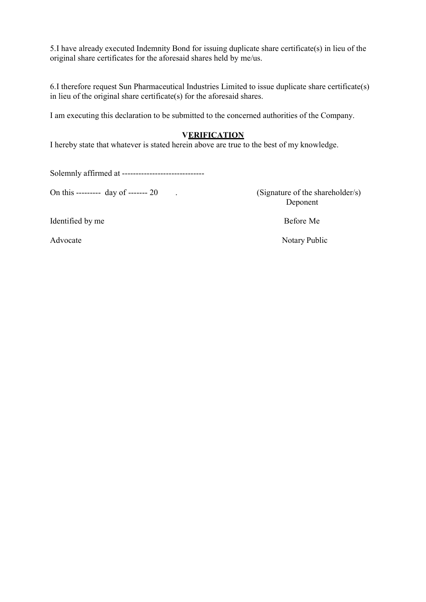5.I have already executed Indemnity Bond for issuing duplicate share certificate(s) in lieu of the original share certificates for the aforesaid shares held by me/us.

6.I therefore request Sun Pharmaceutical Industries Limited to issue duplicate share certificate(s) in lieu of the original share certificate(s) for the aforesaid shares.

I am executing this declaration to be submitted to the concerned authorities of the Company.

## **VERIFICATION**

I hereby state that whatever is stated herein above are true to the best of my knowledge.

Solemnly affirmed at ------------------------------

On this --------- day of ------- 20 . (Signature of the shareholder/s)

Deponent

Identified by me Before Me

Advocate Notary Public